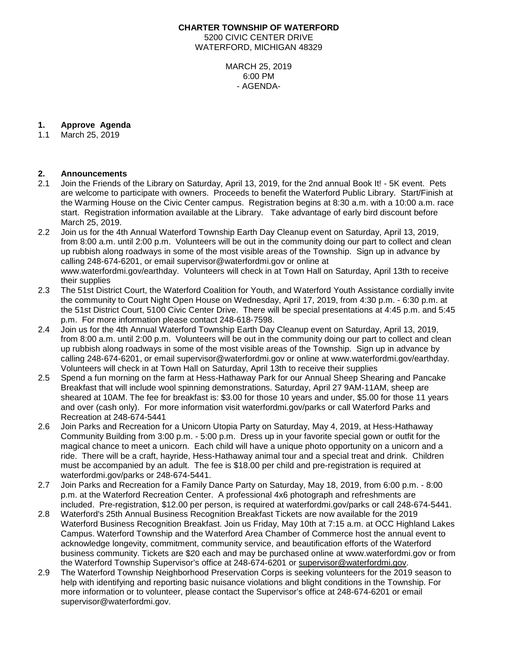### **CHARTER TOWNSHIP OF WATERFORD** 5200 CIVIC CENTER DRIVE WATERFORD, MICHIGAN 48329

MARCH 25, 2019 6:00 PM - AGENDA-

# **1. Approve Agenda**

March 25, 2019

#### **2. Announcements**

- 2.1 Join the Friends of the Library on Saturday, April 13, 2019, for the 2nd annual Book It! 5K event. Pets are welcome to participate with owners. Proceeds to benefit the Waterford Public Library. Start/Finish at the Warming House on the Civic Center campus. Registration begins at 8:30 a.m. with a 10:00 a.m. race start. Registration information available at the Library. Take advantage of early bird discount before March 25, 2019.
- 2.2 Join us for the 4th Annual Waterford Township Earth Day Cleanup event on Saturday, April 13, 2019, from 8:00 a.m. until 2:00 p.m. Volunteers will be out in the community doing our part to collect and clean up rubbish along roadways in some of the most visible areas of the Township. Sign up in advance by calling 248-674-6201, or email supervisor@waterfordmi.gov or online at www.waterfordmi.gov/earthday. Volunteers will check in at Town Hall on Saturday, April 13th to receive their supplies
- 2.3 The 51st District Court, the Waterford Coalition for Youth, and Waterford Youth Assistance cordially invite the community to Court Night Open House on Wednesday, April 17, 2019, from 4:30 p.m. - 6:30 p.m. at the 51st District Court, 5100 Civic Center Drive. There will be special presentations at 4:45 p.m. and 5:45 p.m. For more information please contact 248-618-7598.
- 2.4 Join us for the 4th Annual Waterford Township Earth Day Cleanup event on Saturday, April 13, 2019, from 8:00 a.m. until 2:00 p.m. Volunteers will be out in the community doing our part to collect and clean up rubbish along roadways in some of the most visible areas of the Township. Sign up in advance by calling 248-674-6201, or email supervisor@waterfordmi.gov or online at [www.waterfordmi.gov/earthday.](http://www.waterfordmi.gov/earthday) Volunteers will check in at Town Hall on Saturday, April 13th to receive their supplies
- 2.5 Spend a fun morning on the farm at Hess-Hathaway Park for our Annual Sheep Shearing and Pancake Breakfast that will include wool spinning demonstrations. Saturday, April 27 9AM-11AM, sheep are sheared at 10AM. The fee for breakfast is: \$3.00 for those 10 years and under, \$5.00 for those 11 years and over (cash only). For more information visit waterfordmi.gov/parks or call Waterford Parks and Recreation at 248-674-5441
- 2.6 Join Parks and Recreation for a Unicorn Utopia Party on Saturday, May 4, 2019, at Hess-Hathaway Community Building from 3:00 p.m. - 5:00 p.m. Dress up in your favorite special gown or outfit for the magical chance to meet a unicorn. Each child will have a unique photo opportunity on a unicorn and a ride. There will be a craft, hayride, Hess-Hathaway animal tour and a special treat and drink. Children must be accompanied by an adult. The fee is \$18.00 per child and pre-registration is required at waterfordmi.gov/parks or 248-674-5441.
- 2.7 Join Parks and Recreation for a Family Dance Party on Saturday, May 18, 2019, from 6:00 p.m. 8:00 p.m. at the Waterford Recreation Center. A professional 4x6 photograph and refreshments are included. Pre-registration, \$12.00 per person, is required at waterfordmi.gov/parks or call 248-674-5441.
- 2.8 Waterford's 25th Annual Business Recognition Breakfast Tickets are now available for the 2019 Waterford Business Recognition Breakfast. Join us Friday, May 10th at 7:15 a.m. at OCC Highland Lakes Campus. Waterford Township and the Waterford Area Chamber of Commerce host the annual event to acknowledge longevity, commitment, community service, and beautification efforts of the Waterford business community. Tickets are \$20 each and may be purchased online at www.waterfordmi.gov or from the Waterford Township Supervisor's office at 248-674-6201 or [supervisor@waterfordmi.gov.](mailto:supervisor@waterfordmi.gov)
- 2.9 The Waterford Township Neighborhood Preservation Corps is seeking volunteers for the 2019 season to help with identifying and reporting basic nuisance violations and blight conditions in the Township. For more information or to volunteer, please contact the Supervisor's office at 248-674-6201 or email supervisor@waterfordmi.gov.